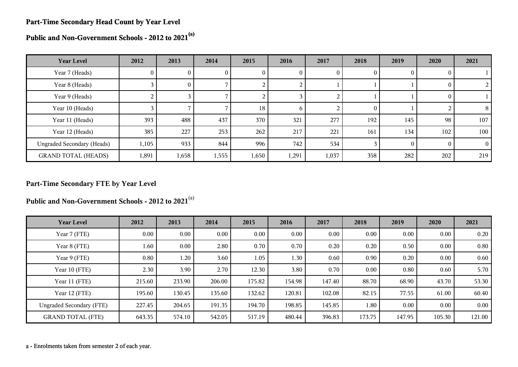#### **Part-Time Secondary Head Count by Year Level**

**Public and Non-Government Schools - 2012 to 2021(a)**

| <b>Year Level</b>                 | 2012           | 2013     | 2014  | 2015  | 2016         | 2017  | 2018     | 2019     | 2020 | 2021     |
|-----------------------------------|----------------|----------|-------|-------|--------------|-------|----------|----------|------|----------|
| Year 7 (Heads)                    | 0              | U.       | O.    | v     | U            | O.    | $\bf{0}$ |          |      |          |
| Year 8 (Heads)                    |                | $\theta$ |       |       |              |       |          |          |      | 2        |
| Year 9 (Heads)                    | $\overline{a}$ |          |       |       |              |       |          |          |      |          |
| Year 10 (Heads)                   |                |          |       | 18    | <sub>t</sub> |       | $\left($ |          |      | 8        |
| Year 11 (Heads)                   | 393            | 488      | 437   | 370   | 321          | 277   | 192      | 145      | 98   | 107      |
| Year 12 (Heads)                   | 385            | 227      | 253   | 262   | 217          | 221   | 161      | 134      | 102  | 100      |
| <b>Ungraded Secondary (Heads)</b> | 1,105          | 933      | 844   | 996   | 742          | 534   |          | $\theta$ |      | $\Omega$ |
| <b>GRAND TOTAL (HEADS)</b>        | 1,891          | 1,658    | 1,555 | 1,650 | 1,291        | 1,037 | 358      | 282      | 202  | 219      |

### **Part-Time Secondary FTE by Year Level**

**Public and Non-Government Schools - 2012 to 2021**(a)

| <b>Year Level</b>               | 2012   | 2013     | 2014     | 2015   | 2016   | 2017   | 2018   | 2019     | 2020     | 2021   |
|---------------------------------|--------|----------|----------|--------|--------|--------|--------|----------|----------|--------|
| Year 7 (FTE)                    | 0.00   | $0.00\,$ | $0.00\,$ | 0.00   | 0.00   | 0.00   | 0.00   | $0.00\,$ | 0.00     | 0.20   |
| Year 8 (FTE)                    | 1.60   | $0.00\,$ | 2.80     | 0.70   | 0.70   | 0.20   | 0.20   | 0.50     | 0.00     | 0.80   |
| Year 9 (FTE)                    | 0.80   | 1.20     | 3.60     | 1.05   | 1.30   | 0.60   | 0.90   | 0.20     | 0.00     | 0.60   |
| Year 10 (FTE)                   | 2.30   | 3.90     | 2.70     | 12.30  | 3.80   | 0.70   | 0.00   | 0.80     | 0.60     | 5.70   |
| Year 11 (FTE)                   | 215.60 | 233.90   | 206.00   | 175.82 | 154.98 | 147.40 | 88.70  | 68.90    | 43.70    | 53.30  |
| Year 12 (FTE)                   | 195.60 | 130.45   | 135.60   | 132.62 | 120.81 | 102.08 | 82.15  | 77.55    | 61.00    | 60.40  |
| <b>Ungraded Secondary (FTE)</b> | 227.45 | 204.65   | 191.35   | 194.70 | 198.85 | 145.85 | 1.80   | $0.00\,$ | $0.00\,$ | 0.00   |
| <b>GRAND TOTAL (FTE)</b>        | 643.35 | 574.10   | 542.05   | 517.19 | 480.44 | 396.83 | 173.75 | 147.95   | 105.30   | 121.00 |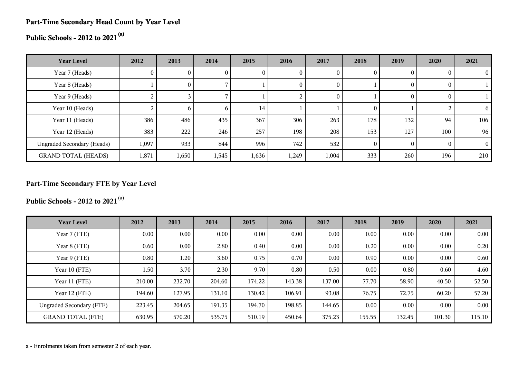## **Part-Time Secondary Head Count by Year Level**

**Public Schools - 2012 to 2021(a)**

| <b>Year Level</b>                 | 2012  | 2013         | 2014         | 2015  | 2016  | 2017           | 2018 | 2019     | 2020             | 2021     |
|-----------------------------------|-------|--------------|--------------|-------|-------|----------------|------|----------|------------------|----------|
| Year 7 (Heads)                    | O.    |              | $\mathbf{0}$ |       |       | $\mathbf{0}$   |      | $\theta$ |                  | $\theta$ |
| Year 8 (Heads)                    |       | U.           |              |       | 0     | $\mathbf{0}$   |      | $\theta$ | 0                |          |
| Year 9 (Heads)                    | 4     |              |              |       |       | $\overline{0}$ |      | $\theta$ | $\boldsymbol{0}$ |          |
| Year 10 (Heads)                   |       | <sub>b</sub> | $\mathbf b$  | 14    |       |                |      |          |                  | 6        |
| Year 11 (Heads)                   | 386   | 486          | 435          | 367   | 306   | 263            | 178  | 132      | 94               | 106      |
| Year 12 (Heads)                   | 383   | 222          | 246          | 257   | 198   | 208            | 153  | 127      | 100              | 96       |
| <b>Ungraded Secondary (Heads)</b> | 1,097 | 933          | 844          | 996   | 742   | 532            |      | $\Omega$ | $\Omega$         | $\Omega$ |
| <b>GRAND TOTAL (HEADS)</b>        | 1,871 | 1,650        | 1,545        | 1,636 | 1,249 | 1,004          | 333  | 260      | 196              | 210      |

## **Part-Time Secondary FTE by Year Level**

**Public Schools - 2012 to 2021**(a)

| <b>Year Level</b>               | 2012     | 2013     | 2014   | 2015   | 2016   | 2017   | 2018   | 2019     | 2020     | 2021   |
|---------------------------------|----------|----------|--------|--------|--------|--------|--------|----------|----------|--------|
| Year 7 (FTE)                    | $0.00\,$ | $0.00\,$ | 0.00   | 0.00   | 0.00   | 0.00   | 0.00   | $0.00\,$ | 0.00     | 0.00   |
| Year 8 (FTE)                    | 0.60     | $0.00\,$ | 2.80   | 0.40   | 0.00   | 0.00   | 0.20   | 0.00     | 0.00     | 0.20   |
| Year 9 (FTE)                    | 0.80     | 1.20     | 3.60   | 0.75   | 0.70   | 0.00   | 0.90   | 0.00     | 0.00     | 0.60   |
| Year 10 (FTE)                   | 1.50     | 3.70     | 2.30   | 9.70   | 0.80   | 0.50   | 0.00   | 0.80     | 0.60     | 4.60   |
| Year 11 (FTE)                   | 210.00   | 232.70   | 204.60 | 174.22 | 143.38 | 137.00 | 77.70  | 58.90    | 40.50    | 52.50  |
| Year 12 (FTE)                   | 194.60   | 127.95   | 131.10 | 130.42 | 106.91 | 93.08  | 76.75  | 72.75    | 60.20    | 57.20  |
| <b>Ungraded Secondary (FTE)</b> | 223.45   | 204.65   | 191.35 | 194.70 | 198.85 | 144.65 | 0.00   | $0.00\,$ | $0.00\,$ | 0.00   |
| <b>GRAND TOTAL (FTE)</b>        | 630.95   | 570.20   | 535.75 | 510.19 | 450.64 | 375.23 | 155.55 | 132.45   | 101.30   | 115.10 |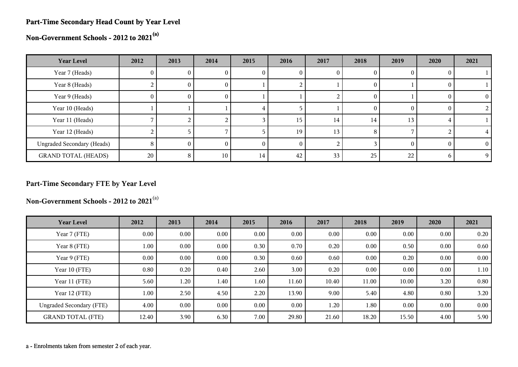#### **Part-Time Secondary Head Count by Year Level**

**Non-Government Schools - 2012 to 2021(a)**

| <b>Year Level</b>                 | 2012           | 2013 | 2014   | 2015 | 2016            | 2017            | 2018     | 2019 | 2020 | 2021     |
|-----------------------------------|----------------|------|--------|------|-----------------|-----------------|----------|------|------|----------|
| Year 7 (Heads)                    | U.             |      |        | U    |                 |                 |          |      |      |          |
| Year 8 (Heads)                    | $\overline{a}$ | 0.   | U.     |      |                 |                 | 0        |      |      |          |
| Year 9 (Heads)                    | 0              | U    | O.     |      |                 |                 | $\theta$ |      |      | $^{(1)}$ |
| Year 10 (Heads)                   |                |      |        |      |                 |                 | $\theta$ |      |      |          |
| Year 11 (Heads)                   |                |      |        |      | 15              | 14              | 14       | 13   |      |          |
| Year 12 (Heads)                   |                |      |        |      | 19 <sub>1</sub> | 13 <sub>1</sub> | 8        |      |      |          |
| <b>Ungraded Secondary (Heads)</b> | 8              |      |        |      | 0               |                 |          |      |      | 0        |
| <b>GRAND TOTAL (HEADS)</b>        | 20             | 8    | $10\,$ | 14   | 42              | 33              | 25       | 22   |      | 9        |

## **Part-Time Secondary FTE by Year Level**

**Non-Government Schools - 2012 to 2021**(a)

| <b>Year Level</b>               | 2012     | 2013     | 2014     | 2015 | 2016     | 2017  | 2018  | 2019     | 2020     | 2021 |
|---------------------------------|----------|----------|----------|------|----------|-------|-------|----------|----------|------|
| Year 7 (FTE)                    | 0.00     | $0.00\,$ | 0.00     | 0.00 | 0.00     | 0.00  | 0.00  | $0.00\,$ | $0.00\,$ | 0.20 |
| Year 8 (FTE)                    | 1.00     | $0.00\,$ | 0.00     | 0.30 | 0.70     | 0.20  | 0.00  | 0.50     | 0.00     | 0.60 |
| Year 9 (FTE)                    | $0.00\,$ | $0.00\,$ | $0.00\,$ | 0.30 | 0.60     | 0.60  | 0.00  | 0.20     | 0.00     | 0.00 |
| Year 10 (FTE)                   | 0.80     | 0.20     | 0.40     | 2.60 | 3.00     | 0.20  | 0.00  | 0.00     | 0.00     | 1.10 |
| Year 11 (FTE)                   | 5.60     | 1.20     | 1.40     | 1.60 | 11.60    | 10.40 | 11.00 | 10.00    | 3.20     | 0.80 |
| Year 12 (FTE)                   | 1.00     | 2.50     | 4.50     | 2.20 | 13.90    | 9.00  | 5.40  | 4.80     | 0.80     | 3.20 |
| <b>Ungraded Secondary (FTE)</b> | 4.00     | $0.00\,$ | $0.00\,$ | 0.00 | $0.00\,$ | 1.20  | 1.80  | $0.00\,$ | $0.00\,$ | 0.00 |
| <b>GRAND TOTAL (FTE)</b>        | 12.40    | 3.90     | 6.30     | 7.00 | 29.80    | 21.60 | 18.20 | 15.50    | 4.00     | 5.90 |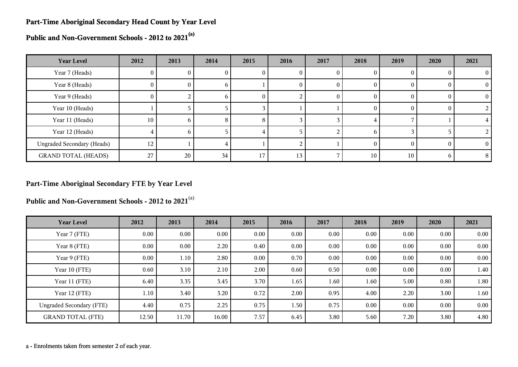#### **Part-Time Aboriginal Secondary Head Count by Year Level**

**Public and Non-Government Schools - 2012 to 2021(a)**

| <b>Year Level</b>                 | 2012     | 2013 | 2014         | 2015 | 2016 | 2017   | 2018 | 2019     | 2020 | 2021     |
|-----------------------------------|----------|------|--------------|------|------|--------|------|----------|------|----------|
| Year 7 (Heads)                    | 0        | U.   |              | U    | U    | O      |      |          |      | $\theta$ |
| Year 8 (Heads)                    | $\theta$ | O.   | h.           |      | U    | 0      |      | $_{0}$   |      | $\theta$ |
| Year 9 (Heads)                    | $\theta$ |      | <sub>b</sub> | O    |      | $_{0}$ | 0    | $_{0}$   |      | $\Omega$ |
| Year 10 (Heads)                   |          |      |              |      |      |        |      |          |      |          |
| Year 11 (Heads)                   | 10       | n.   | 8            | 8    |      |        |      |          |      |          |
| Year 12 (Heads)                   |          | n    |              |      |      |        |      |          |      |          |
| <b>Ungraded Secondary (Heads)</b> | 12       |      |              |      |      |        |      | $\Omega$ |      | $\theta$ |
| <b>GRAND TOTAL (HEADS)</b>        | 27       | 20   | 34           | 17   | 13   |        | 10   | 10       |      | 8        |

### **Part-Time Aboriginal Secondary FTE by Year Level**

**Public and Non-Government Schools - 2012 to 2021**(a)

| <b>Year Level</b>               | 2012  | 2013     | 2014     | 2015 | 2016 | 2017 | 2018 | 2019     | 2020     | 2021 |
|---------------------------------|-------|----------|----------|------|------|------|------|----------|----------|------|
| Year 7 (FTE)                    | 0.00  | $0.00\,$ | $0.00\,$ | 0.00 | 0.00 | 0.00 | 0.00 | 0.00     | 0.00     | 0.00 |
| Year 8 (FTE)                    | 0.00  | 0.00     | 2.20     | 0.40 | 0.00 | 0.00 | 0.00 | 0.00     | 0.00     | 0.00 |
| Year 9 (FTE)                    | 0.00  | 1.10     | 2.80     | 0.00 | 0.70 | 0.00 | 0.00 | 0.00     | 0.00     | 0.00 |
| Year 10 (FTE)                   | 0.60  | 3.10     | 2.10     | 2.00 | 0.60 | 0.50 | 0.00 | $0.00\,$ | 0.00     | 1.40 |
| Year 11 (FTE)                   | 6.40  | 3.35     | 3.45     | 3.70 | 1.65 | 1.60 | 1.60 | 5.00     | 0.80     | 1.80 |
| Year 12 (FTE)                   | 1.10  | 3.40     | 3.20     | 0.72 | 2.00 | 0.95 | 4.00 | 2.20     | 3.00     | 1.60 |
| <b>Ungraded Secondary (FTE)</b> | 4.40  | 0.75     | 2.25     | 0.75 | 1.50 | 0.75 | 0.00 | $0.00\,$ | $0.00\,$ | 0.00 |
| <b>GRAND TOTAL (FTE)</b>        | 12.50 | 11.70    | 16.00    | 7.57 | 6.45 | 3.80 | 5.60 | 7.20     | 3.80     | 4.80 |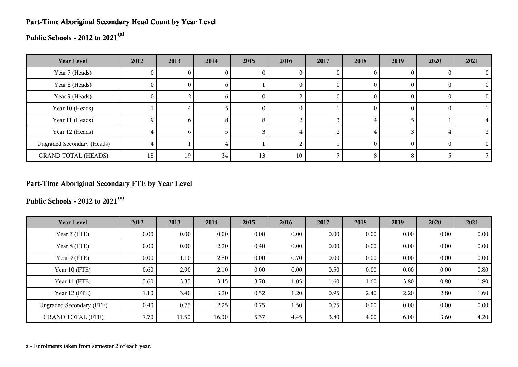### **Part-Time Aboriginal Secondary Head Count by Year Level**

# **Public Schools - 2012 to 2021(a)**

| <b>Year Level</b>                 | 2012     | 2013 | 2014         | 2015     | 2016 | 2017 | 2018     | 2019 | 2020     | 2021 |
|-----------------------------------|----------|------|--------------|----------|------|------|----------|------|----------|------|
| Year 7 (Heads)                    | U        |      |              | U        |      |      | 0        |      |          |      |
| Year 8 (Heads)                    | $\theta$ | U.   | <sub>0</sub> |          |      |      | $\theta$ |      | $\theta$ |      |
| Year 9 (Heads)                    | $\theta$ |      | h.           | 0        |      |      | $\theta$ |      | $\theta$ |      |
| Year 10 (Heads)                   |          | 4    |              | $\theta$ | U    |      | $\theta$ |      | $\theta$ |      |
| Year 11 (Heads)                   | Q.       | n    | 8            | 8        |      |      |          |      |          |      |
| Year 12 (Heads)                   |          | h.   |              |          |      |      |          |      |          |      |
| <b>Ungraded Secondary (Heads)</b> |          |      |              |          |      |      | $\theta$ |      | $\Omega$ |      |
| <b>GRAND TOTAL (HEADS)</b>        | 18       | 19   | 34           | 13       | 10   |      |          |      |          |      |

### **Part-Time Aboriginal Secondary FTE by Year Level**

**Public Schools - 2012 to 2021**(a)

| <b>Year Level</b>               | 2012     | 2013     | 2014     | 2015 | 2016 | 2017 | 2018 | 2019 | 2020     | 2021 |
|---------------------------------|----------|----------|----------|------|------|------|------|------|----------|------|
| Year 7 (FTE)                    | $0.00\,$ | $0.00\,$ | $0.00\,$ | 0.00 | 0.00 | 0.00 | 0.00 | 0.00 | 0.00     | 0.00 |
| Year 8 (FTE)                    | 0.00     | 0.00     | 2.20     | 0.40 | 0.00 | 0.00 | 0.00 | 0.00 | $0.00\,$ | 0.00 |
| Year 9 (FTE)                    | $0.00\,$ | 1.10     | 2.80     | 0.00 | 0.70 | 0.00 | 0.00 | 0.00 | $0.00\,$ | 0.00 |
| Year 10 (FTE)                   | 0.60     | 2.90     | 2.10     | 0.00 | 0.00 | 0.50 | 0.00 | 0.00 | 0.00     | 0.80 |
| Year 11 (FTE)                   | 5.60     | 3.35     | 3.45     | 3.70 | 1.05 | 1.60 | 1.60 | 3.80 | 0.80     | 1.80 |
| Year 12 (FTE)                   | 1.10     | 3.40     | 3.20     | 0.52 | 1.20 | 0.95 | 2.40 | 2.20 | 2.80     | 1.60 |
| <b>Ungraded Secondary (FTE)</b> | 0.40     | 0.75     | 2.25     | 0.75 | 1.50 | 0.75 | 0.00 | 0.00 | 0.00     | 0.00 |
| <b>GRAND TOTAL (FTE)</b>        | 7.70     | 11.50    | 16.00    | 5.37 | 4.45 | 3.80 | 4.00 | 6.00 | 3.60     | 4.20 |

a - Enrolments taken from semester 2 of each year.